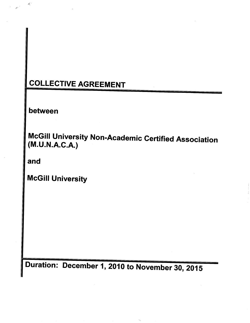# COLLECTIVE AGREEMENT

between

 $\mathcal{A}_i$  :

McGill University Non-Academic Certified Association (M.U.N.A.C.A.)

and

McGill University

Duration: December 1, 2010 to November 30, 2015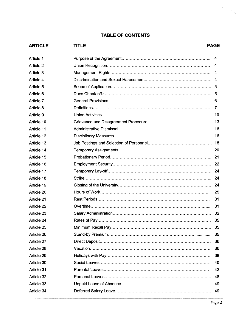## **TABLE OF CONTENTS**

| <b>ARTICLE</b> | <b>TITLE</b> | <b>PAGE</b> |
|----------------|--------------|-------------|
| Article 1      |              | 4           |
| Article 2      |              |             |
| Article 3      |              |             |
| Article 4      |              |             |
| Article 5      |              |             |
| Article 6      |              |             |
| Article 7      |              |             |
| Article 8      |              | 7           |
| Article 9      |              | 10          |
| Article 10     |              | 13          |
| Article 11     |              | 16          |
| Article 12     |              | 16          |
| Article 13     |              |             |
| Article 14     |              |             |
| Article 15     |              |             |
| Article 16     |              |             |
| Article 17     |              |             |
| Article 18     |              |             |
| Article 19     |              |             |
| Article 20     |              | 25          |
| Article 21     |              | 31          |
| Article 22     |              | 31          |
| Article 23     |              |             |
| Article 24     |              | 35          |
| Article 25     |              | 35          |
| Article 26     |              | 35          |
| Article 27     |              | 36          |
| Article 28     |              | 36          |
| Article 29     |              | 38          |
| Article 30     |              | 40          |
| Article 31     |              | 42          |
| Article 32     |              | 48          |
| Article 33     |              | 49          |
| Article 34     |              | 49          |
|                |              |             |

 $\mathcal{A}^{\mathcal{A}}$ 

 $\label{eq:2} \frac{1}{\sqrt{2}}\sum_{i=1}^N\frac{1}{\sqrt{2\pi}}\sum_{i=1}^N\frac{1}{\sqrt{2\pi}}\sum_{i=1}^N\frac{1}{\sqrt{2\pi}}\sum_{i=1}^N\frac{1}{\sqrt{2\pi}}\sum_{i=1}^N\frac{1}{\sqrt{2\pi}}\sum_{i=1}^N\frac{1}{\sqrt{2\pi}}\sum_{i=1}^N\frac{1}{\sqrt{2\pi}}\sum_{i=1}^N\frac{1}{\sqrt{2\pi}}\sum_{i=1}^N\frac{1}{\sqrt{2\pi}}\sum_{i=1}^N\frac{1}{$ 

 $\bar{z}$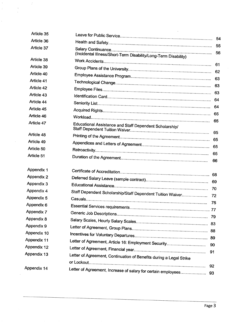| Article 35         |                                                                     |          |
|--------------------|---------------------------------------------------------------------|----------|
| Article 36         |                                                                     |          |
| Article 37         | (Incidental Illness/Short-Term Disability/Long-Term Disability)     | 55<br>56 |
| Article 38         |                                                                     |          |
| Article 39         |                                                                     | 61       |
| Article 40         |                                                                     | 62       |
| Article 41         |                                                                     | 63       |
| Article 42         |                                                                     | 63       |
| Article 43         |                                                                     | 63       |
| Article 44         |                                                                     | 64       |
| Article 45         |                                                                     | 64       |
| Article 46         |                                                                     | 65       |
| Article 47         | Educational Assistance and Staff Dependent Scholarship/             | 65       |
| Article 48         |                                                                     | 65       |
| Article 49         |                                                                     |          |
| Article 50         |                                                                     |          |
| Article 51         |                                                                     | 65<br>66 |
| Appendix 1         |                                                                     |          |
| Appendix 2         |                                                                     |          |
| Appendix 3         |                                                                     |          |
| Appendix 4         | Staff Dependent Scholarship/Staff Dependent Tuition Waiver 72       |          |
| Appendix 5         |                                                                     |          |
| Appendix 6         |                                                                     |          |
| Appendix 7         |                                                                     |          |
| Appendix 8         |                                                                     | 79       |
| Appendix 9         |                                                                     |          |
| Appendix 10        |                                                                     |          |
| <b>Appendix 11</b> | Letter of Agreement, Article 16: Employment Security                |          |
| Appendix 12        |                                                                     | 90       |
| Appendix 13        | Letter of Agreement, Continuation of Benefits during a Legal Strike | 91       |
| Appendix 14        | Letter of Agreement, Increase of salary for certain employees       | 92<br>93 |

 $\vec{z}$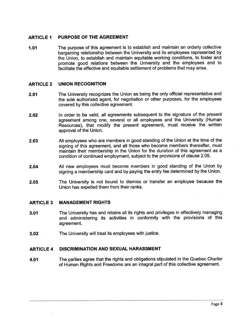## ARTICLE 1 PURPOSE OF THE AGREEMENT

1.01 The purpose of this agreement is to establish and maintain an orderly collective bargaining relationship between the University and its employees represented by the Union, to establish and maintain equitable working conditions, to foster and promote good relations between the University and the employees and to faciltate the effective and equitable settlement of problems that may arise.

## ARTICLE 2 UNION RECOGNITION

- 2.01 The University recognizes the Union as being the only official representative and the sole authorized agent, for negotiation or other purposes, for the employees covered by this collective agreement.
- 2.02 In order to be valid, all agreements subsequent to the signature of the present agreement among one, several or all employees and the University (Human Resources), that modify the present agreement, must receive the written approval of the Union.
- 2.03 All employees who are members in good standing of the Union at the time of the signing of this agreement, and all those who become members thereafter, must maintain their membership in the Union for the duration of this agreement as a condition of continued employment, subject to the provisions of clause 2.05.
- 2.04 All new employees must become members in good standing of the Union by signing a membership card and by paying the entry fee determined by the Union.
- 2.05 The University is not bound to dismiss or transfer an employee because the Union has expelled them from their ranks.

## ARTICLE 3 MANAGEMENT RIGHTS

- 3.01 The University has and retains all its rights and privileges in effectively managing and administering its activities in conformity with the provisions of this agreement.
- 3.02 The University wil treat its employees with justice.

## ARTICLE 4 DISCRIMINATION AND SEXUAL HARASSMENT

4.01 The parties agree that the rights and obligations stipulated in the Quebec Charter of Human Rights and Freedoms are an integral part of this collective agreement.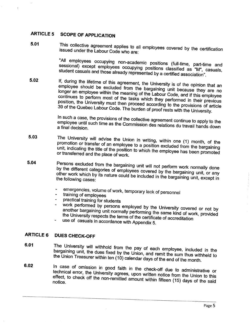# ARTICLE 5 SCOPE OF APPLICATION

 $\overline{\phantom{a}}$ 

5.01 This collective agreement applies to all employees covered by the certification issued under the Labour Code who are:

> "All employees occupying non-academic positions (full-time, part-time and sessional) except employees occupying positions classified as "M", casuals, student casuals and those already represented by a certified association".

5.02 If, during the lifetime of this agreement, the University is of the opinion that an employee should be excluded from the bargaining unit because they are no longer an employee within the meaning of the Labour Code, and if this employee continues to perform most of the tasks which they performed in their previous position, the University must then proceed according to the provisions of article 39 of the Quebec Labour Code. The burden of proof rests with the University.

> In such a case, the provisions of the collective agreement continue to apply to the employee until such time as the Commission des relations du travail hands down a final decision.

- 5.03 The University wil advise the Union in writing, within one (1) month, of the promotion or transfer of an employee to a position excluded from the bargaining unit, indicating the title of the position to which the employee has been promoted or transferred and the place of work.
- 5.04 Persons excluded from the bargaining unit will not perform work normally done by the different categories of employees covered by the bargaining unit, or any other work which by its nature could be included in the bargaining unit, except in the following cases:
	- emergencies, volume of work, temporary lack of personnel
	- training of employees
	- practical training for students
	- work performed by persons employed by the University covered or not by another bargaining unit normally performing the same kind of work, provided the University respects the terms of the certificate of accreditation
	- use of casuals in accordance with Appendix 5.

## ARTICLE 6 DUES CHECK-OFF

- 6.01 The University will withhold from the pay of each employee, included in the bargaining unit, the dues fixed by the Union, and remit the sum thus withheld to the Union Treasurer within ten (10) calendar days of the end of the month.
- 6.02 In case of omission in good faith in the check-off due to administrative or technical error, the University agrees, upon written notice from the Union to this effect, to check off the non-remitted amount within  $f(t) = f(t)$  days of the Union to this notice.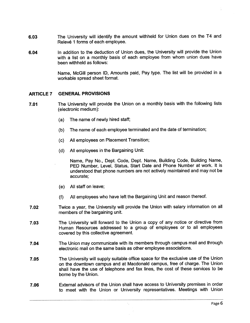- 6.03 The University will identify the amount withheld for Union dues on the T4 and Relevé 1 forms of each employee.
- 6.04 In addition to the deduction of Union dues, the University wil provide the Union with a list on a monthly basis of each employee from whom union dues have been withheld as follows:

Name, McGil person 10, Amounts paid, Pay type. The list wil be provided in a workable spread sheet format.

## ARTICLE 7 GENERAL PROVISIONS

- 7.01 The University wil provide the Union on a monthly basis with the following lists (electronic medium):
	- (a) The name of newly hired staff;
	- (b) The name of each employee terminated and the date of termination;
	- (c) All employees on Placement Transition;
	- (d) All employees in the Bargaining Unit:

Name, Pay No., Dept. Code, Dept. Name, Building Code, Building Name, PED Number, Level, Status, Start Date and Phone Number at work. It is understood that phone numbers are not actively maintained and may not be accurate;

- (e) All staff on leave;
- (f) All employees who have left the Bargaining Unit and reason thereof.
- 7.02 Twice a year, the University will provide the Union with salary information on all members of the bargaining unit.
- 7.03 The University wil forward to the Union a copy of any notice or directive from Human Resources addressed to a group of employees or to all employees covered by this collective agreement.
- 7.04 The Union may communicate with its members through campus mail and through electronic mail on the same basis as other employee associations.
- 7.05 The University will supply suitable office space for the exclusive use of the Union on the downtown campus and at Macdonald campus, free of charge. The Union shall have the use of telephone and fax lines, the cost of these services to be borne by the Union.
- 7.06 External advisors of the Union shall have access to University premises in order to meet with the Union or University representatives. Meetings with Union

.----\_.\_\_............\_........----\_.\_...\_....\_\_.\_.\_\_.\_---\_..\_...\_----\_..\_.\_\_..\_\_.\_..\_..\_....\_\_...\_\_......\_...\_\_......\_..\_........\_\_......-.\_-\_................\_.\_..\_..\_...\_....\_..\_...\_-.\_.....\_..............\_\_.\_..\_.\_.........\_.....\_.......\_.\_........\_\_..\_.\_....\_--\_....\_\_..................\_.\_.........

 $\mathcal{N}_{\mathcal{A}}$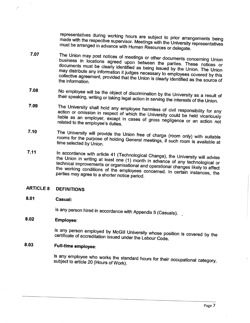representatives during working hours are subject to prior arrangements being made with the respective supervisor. Meetings with the University representatives must be arranged in advance with Human Resources or delegate.

- 7.07 The Union may post notices of meetings or other documents concerning Union business in locations agreed upon between the parties. These notices or documents must be clearly identified as being issued by the Union. The Union may distribute any information it judges necessary to employees covered by this collective agreement, provided that the Union is clearly identified as covered by this the information.
- 7.08 No employee will be the object of discrimination by the University as a result of their speaking, writing or taking legal action in serving the interests of the Union.
- 7.09 The University shall hold any employee harmless of civil responsibility for any action or omission in respect of which the University could be held vicariously liable as an employer, except in cases of gross negligence or an action not related to the employee's duties.
- 7.10 The University will provide the Union free of charge (room only) with suitable rooms for the purpose of holding General meetings, if such room is available at time selected by Union.
- 7.11 In accordance with article 41 (Technological Change), the University will advise the Union in writing at least one (1) month in advance of any technological or technical improvements or organisational and operational changes likely to affect the working conditions of the employees concerned. In certain instances, the parties may agree to a shorter notice period.

## ARTICLE 8 DEFINITIONS

## 8.01 Casual:

 $\mathcal{O}$ 

 $\mathcal{C}$ 

is any person hired in accordance with Appendix 5 (Casuals).

## 8.02 Employee:

is any person employed by McGil University whose position is covered by the certificate of accreditation issued under the Labour Code.

# 8.03 Full-time employee:

is any employee who works the standard hours for their occupational category, subject to article 20 (Hours of Work).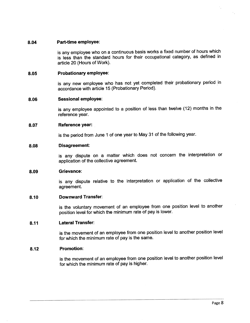#### 8.04 Part-time employee:

is any employee who on a continuous basis works a fixed number of hours which is less than the standard hours for their occupational category, as defined in article 20 (Hours of Work).

#### 8.05 Probationary employee:

is any new employee who has not yet completed their probationary period in accordance with article 15 (Probationary Period).

#### 8.06 Sessional employee:

is any employee appointed to a position of less than twelve (12) months in the reference year.

#### 8.07 Reference year:

is the period from June 1 of one year to May 31 of the following year.

#### 8.08 Disagreement:

is any dispute on a matter which does not concern the interpretation or application of the collective agreement.

#### 8.09 Grievance:

is any dispute relative to the interpretation or application of the collective agreement.

#### 8.10 Downward Transfer:

is the voluntary movement of an employee from one position level to another position level for which the minimum rate of pay is lower.

#### 8.11 Lateral Transfer:

is the movement of an employee from one position level to another position level for which the minimum rate of pay is the same.

#### 8.12 Promotion:

is the movement of an employee from one position level to another position level for which the minimum rate of pay is higher.

...\_\_.....\_.\_.......\_..........\_\_.....\_..\_...........\_\_.....................\_..\_......\_..\_............\_\_\_\_\_......\_\_\_.....\_..........\_\_\_..\_.\_~.....\_\_.............m.........\_\_..\_..\_\_\_\_.....\_\_..\_\_...\_\_....\_.....\_m\_.\_..................m................\_..\_\_\_m..\_..\_\_..\_..........-.\_....-........\_-\_..-..-.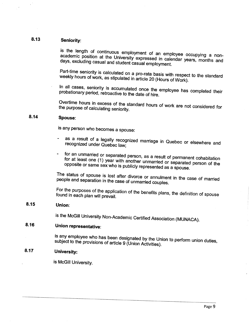## 8.13 Seniority:

is the length of continuous employment of an employee occupying a nonacademic position at the University expressed in call the decoupying a nonacademic position at the University expressed in calendar years, months and<br>days, excluding casual and student casual employment.

Part-time seniority is calculated on a pro-rata basis with respect to the standard weekly hours of work, as stipulated in article 20 (Hours of Work).

In all cases, seniority is accumulated once the  $\epsilon_{\text{max}}$ probationary period, retroactive to the date of hire.

Overtime hours in excess of the standard hours of work are not considered for the purpose of calculating seniority.

## 8.14 Spouse:

is any person who becomes a Spouse:

- as a result of a legally recognized marriage in Quebec or elsewhere and recognized under Quebec law;
- for an unmarried or separated person, as a result of permanent cohabitation for at least one (1) year with another unmarried or separated person of the opposite or same sex who is publicly represented as a Spouse.

The status of spouse is lost after divorce or annulment in the case of  $\alpha$ people and separation in the case of unmarried couple

For the purposes of the application of the benefits plans, the definition of Spouse found in each plan will prevail.

## 8.15 Union:

is the McGill University Non-Academic Certified Association (MUNACA).

# 8.16 Union representative:

is any employee who has been designated by the Union to perform union duties, subject to the provisions of article 9 (Union Activities).

## 8.17 University:

is McGill University.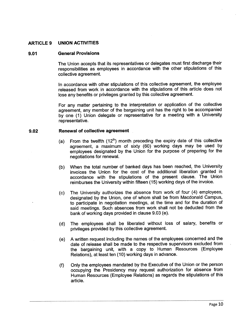## ARTICLE 9 UNION ACTIVITIES

#### 9.01 General Provisions

The Union accepts that its representatives or delegates must first discharge their responsibilities as employees in accordance with the other stipulations of this collective agreement.

In accordance with other stipulations of this collective agreement, the employee released from work in accordance with the stipulations of this article does not lose any benefits or privileges granted by this collective agreement.

For any matter pertaining to the interpretation or application of the collective agreement, any member of the bargaining unit has the right to be accompanied by one (1) Union delegate or representative for a meeting with a University representative.

#### 9.02 Renewal of collective agreement

- (a) From the twelfth  $(12<sup>th</sup>)$  month preceding the expiry date of this collective agreement, a maximum of sixty (60) working days may be used by employees designated by the Union for the purpose of preparing for the negotiations for renewaL.
- (b) When the total number of banked days has been reached, the University invoices the Union for the cost of the additional liberation granted in accordance with the stipulations of the present clause. The Union reimburses the University within fifteen (15) working days of the invoice.
- (c) The University authorizes the absence from work of four (4) employees, designated by the Union, one of whom shall be from Macdonald Campus, to participate in negotiation meetings, at the time and for the duration of said meetings. Such absences from work shall not be deducted from the bank of working days provided in clause 9.03 (e).
- (d) The employees shall be liberated without loss of salary, benefits or privileges provided by this collective agreement.
- (e) A written request including the names of the employees concerned and the date of release shall be made to the respective supervisors excluded from the bargaining unit, with a copy to Human Resources (Employee Relations), at least ten (10) working days in advance.
- (f) Only the employees mandated by the Executive of the Union or the person occupying the Presidency may request authorization for absence from Human Resources (Employee Relations) as regards the stipulations of this article.

.\_.............\_.....\_mm..\_.......\_................\_........\_\_...\_\_..\_..\_...\_\_\_............\_......\_.......\_....\_....\_..\_\_....\_\_..\_--.--....--.-.--.--...-....-..-...--.-.......---....-------...-.....-...-...........-....-....-....-..........---....-.-----...............-.......\_.--....--....\_-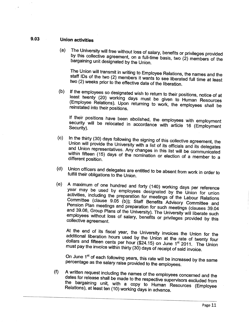## 9.03 Union activities

(a) The University will free without loss of salary, benefits or privileges provided by this collective agreement, on a full-time basis, two (2) members of the bargaining unit designated by the Union.

The Union will transmit in writing to Employee Relations, the names and the staff IDs of the two (2) members it wants to see liberated full time at least two (2) weeks prior to the effective date of the liberation.

(b) If the employees so designated wish to return to their positions, notice of at least twenty (20) working days must be given to Human Resources (Employee Relations). Upon returning to work, the employees shall be reinstated into their positions.

If their positions have been abolished, the employees with employment security will be relocated in accordance with article 16 (Employment Security).

- (c) In the thirty (30) days following the signing of this collective agreement, the Union will provide the University with a list of its officials and its delegates and Union representatives. Any changes in this list wil be communicated within fifteen (15) days of the nomination or election of a member to a different position.
- (d) Union officers and delegates are entitled to be absent from work in order to fulfil their obligations to the Union.
- (e) A maximum of one hundred and forty (140) working days per reference year may be used by employees designated by the Union for union activities, including the preparation for meetings of the Labour Relations Committee (clause 9.05 (b)); Staff Benefis Advisory Committee and Pension Plan meetings and preparation for such meetings (clauses 39.04 and 39.06, Group Plans of the University). The University will liberate such employees without loss of salary, benefits or privileges provided by this collective agreement.

At the end of its fiscal year, the University invoices the Union for the additional liberation hours used by the Union at the rate of twenty four dollars and fifteen cents per hour  $($24.15)$  on June 1<sup>st</sup> 2011. The Union must pay the invoice within thirty (30) days of receipt of said invoice.

On June 1<sup>st</sup> of each following years, this rate will be increased by the same percentage as the salary raise provided to the employees.

(f) A written request including the names of the employees concerned and the dates for release shall be made to the respective supervisors excluded from the bargaining unit, with a copy to Human Resources (Employee Relations), at least ten (10) working days in advance.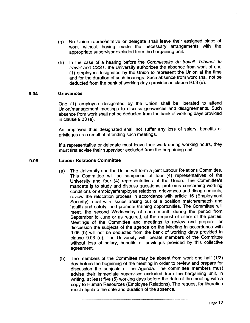- (g) No Union represèntative or delegate shall leave their assigned place of work without having made the necessary arrangements with the appropriate supervisor excluded from the bargaining unit.
- (h) In the case of a hearing before the Commissaire du travail, Tribunal du travail and CSST, the University authorizes the absence from work of one (1) employee designated by the Union to represent the Union at the time and for the duration of such hearings. Such absence from work shall not be deducted from the bank of working days provided in clause 9.03 (e).

#### 9.04 Grievances

One (1) employee designated by the Union shall be liberated to attend Union/management meetings to discuss grievances and disagreements. Such absence from work shall not be deducted from the bank of working days provided in clause 9.03 (e).

An employee thus designated shall not suffer any loss of salary, benefits or privileges as a result of attending such meetings.

If a representative or delegate must leave their work during working hours, they must first advise their supervisor excluded from the bargaining unit.

#### 9.05 Labour Relations Committee

- (a) The University and the Union will form a joint Labour Relations Committee. This Committee will be composed of four (4) representatives of the University and four (4) representatives of the Union. The Committee's mandate is to study and discuss questions, problems concerning working conditions or employer/employee relations, grievances and disagreements; review the relocation process in accordance with article 16 (Employment Security); deal with issues arising out of a position match/rematch and health and safety, and promote training opportunities. The Committee wil meet, the second Wednesday of each month during the period from September to June or as required, at the request of either of the parties. Meetings of the Committee and meetings to review and prepare for discussion the subjects of the agenda on the Meeting in accordance with 9.05 (b) will not be deducted from the bank of working days provided in clause 9.03 (e). The University wil liberate members of the Committee without loss of salary, benefits or privileges provided by this collective agreement.
- (b) The members of the Committee may be absent from work one half (1/2) day before the beginning of the meeting in order to review and prepare for discussion the subjects of the Agenda. The committee members must advise their immediate supervisor excluded from the bargaining unit, in writing, at least five (5) working days before the date of the meeting with a copy to Human Resources (Employee Relations). The request for liberation must stipulate the date and duration of the absence.

............\_.................\_..\_....\_..\_\_\_..........\_\_\_..\_....\_\_..........\_\_\_......\_m\_\_\_\_\_..\_......\_........\_....\_.\_\_........\_\_\_\_....\_\_\_\_\_....\_.......\_\_\_\_\_\_.........\_....\_....\_....\_...\_...\_\_.\_.\_\_.\_..\_\_..........m..............\_\_\_\_..\_..\_\_\_\_\_..\_.\_\_\_\_.........\_..\_...................\_\_...-\_.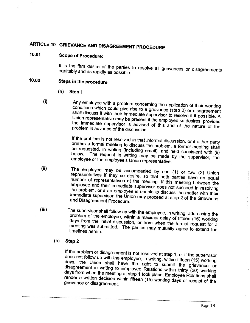# ARTICLE 10 GRIEVANCE AND DISAGREEMENT PROCEDURE

## 10.01 Scope of Procedure:

It is the firm desire of the parties to resolve all grievances or disagreements equitably and as rapidly as possible.

# 10.02 Steps in the procedure:

- (a) Step 1
- (i) Any employee with a problem concerning the application of their working conditions which could give rise to a grievance (step 2) or disagreement shall discuss it with their immediate supervisor to resolve it if possible. A Union representative may be present if the employee so desires, provided the immediate supervisor is advised of this and of the nature of the problem in advance of the discussion.

If the problem is not resolved in that informal discussion, or if either party prefers a formal meeting to discuss the problem, a formal meeting shall be requested, in writing (including email), and held consistent with (ii) below. The request in writing may be made by the supervisor, the employee or the employee's Union representative.

- (ii) The employee may be accompanied by one (1) or two (2) Union representatives if they so desire, so that both parties have an equal number of representatives at the meeting. If this meeting between the employee and their immediate supervisor does not succeed in resolving the problem, or if an employee is unable to discuss the matter with their immediate supervisor, the Union may proceed at step 2 of the Grievance and Disagreement Procedure.
- (ii) The supervisor shall follow up with the employee, in writing, addressing the problem of the employee, within a maximal delay of fifteen (15) working days from the initial discussion, or from when the formal request for a meeting was submitted. The parties may mutually agree to extend the timelines herein.

## (b) Step 2

If the problem or disagreement is not resolved at step 1, or if the supervisor does not follow up with the employee, in writing, within fifteen (15) working days, the Union shall have the right to submit the grievance or disagreement in writing to Employee Relations within thirty (30) working days from when the meeting at step 1 took place. Employee Relations shall render a written decision within fifteen (15) working days of receipt of the grievance or disagreement.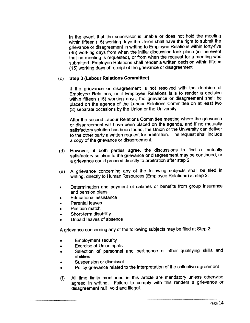In the event that the supervisor is unable or does not hold the meeting within fifteen (15) working days the Union shall have the right to submit the grievance or disagreement in writing to Employee Relations within forty-five (45) working days from when the initial discussion took place (in the event that no meeting is requested), or from when the request for a meeting was submitted. Employee Relations shall render a written decision within fifteen (15) working days of receipt of the grievance or disagreement.

## (c) Step 3 (Labour Relations Committee)

If the grievance or disagreement is not resolved with the decision of Employee Relations, or if Employee Relations fails to render a decision within fifteen (15) working days, the grievance or disagreement shall be placed on the agenda of the Labour Relations Committee on at least two (2) separate occasions by the Union or the University.

After the second Labour Relations Committee meeting where the grievance or disagreement will have been placed on the agenda, and if no mutually satisfactory solution has been found, the Union or the University can deliver to the other party a written request for arbitration. The request shall include a copy of the grievance or disagreement.

- (d) However, if both parties agree, the discussions to find a mutually satisfactory solution to the grievance or disagreement may be continued, or a grievance could proceed directly to arbitration after step 2.
- (e) A grievance concerning any of the following subjects shall be filed in writing, directly to Human Resources (Employee Relations) at step 2:
- . Determination and payment of salaries or benefis from group insurance and pension plans
- . Educational assistance
- . Parental leaves
- . Position match
- . Short-term disability
- . Unpaid leaves of absence

A grievance concerning any of the following subjects may be filed at Step 2:

- . Employment security
- . Exercise of Union rights
- . Selection of personnel and pertinence of other qualifying skils and abilities
- . Suspension or dismissal
- . Policy grievance related to the interpretation of the collective agreement
- (f) All time limits mentioned in this article are mandatory unless otherwise agreed in writing. Failure to comply with this renders a grievance or disagreement null, void and illegaL.

,我们的时候,我们的时候,我们的时候,我们的时候,我们的时候,我们的时候,我们的时候,我们的时候,我们的时候,我们的时候,我们的时候,我们的时候,我们的时候,我<br>第2020章 我们的时候,我们的时候,我们的时候,我们的时候,我们的时候,我们的时候,我们的时候,我们的时候,我们的时候,我们的时候,我们的时候,我们的时候,我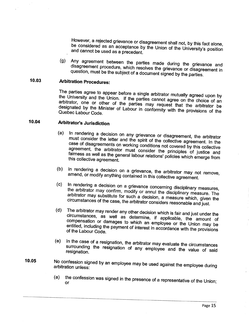However, a rejected grievance or disagreement shall not, by this fact alone, be considered as an acceptance by the Union of the University's position and cannot be used as a precedent.

(g) Any agreement between the parties made during the grievance and disagreement procedure, which resolves the grievance or disagreement in question, must be the subject of a document signed by the parties.

# 10.03 Arbitration Procedures:

The parties agree to appear before a single arbitrator mutually agreed upon by the University and the Union. If the parties cannot agree on the choice of an arbitrator, one or other of the parties may request that the arbitrator be designated by the Minister of Labour in conformity with the provisions of the Quebec Labour Code.

## 10.04 Arbitrator's Jurisdiction

- (a) In rendering a decision on any grievance or disagreement, the arbitrator must consider the letter and the spirit of the collective agreement. In the case of disagreements on working conditions not covered by this collective agreement, the arbitrator must consider the principles of justice and fairness as well as the general labour relations' policies which emerge from this collective agreement.
- (b) In rendering a decision on a grievance, the arbitrator may not remove, amend, or modify anything contained in this collective agreement.
- (c) In rendering a decision on a grievance concerning disciplinary measures, the arbitrator may confirm, modify or annul the disciplinary measure. The arbitrator may substitute for such a decision, a measure which, given the circumstances of the case, the arbitrator considers reasonable and just.
- (d) The arbitrator may render any other decision which is fair and just under the circumstances, as well as determine, if applicable, the amount of compensation or damages to which an employee or the Union may be entitled, including the payment of interest in accordance with the provisions of the Labour Code.
- (e) In the case of a resignation, the arbitrator may evaluate the circumstances surrounding the resignation of any employee and the value of said resignation.
- 10.05 No confession signed by an employee may be used against the employee during arbitration unless:
	- (a) the confession was signed in the presence of a representative of the Union; or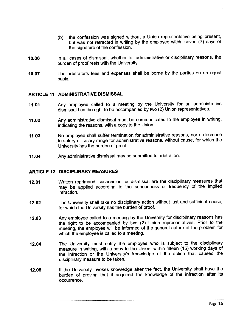- (b) the confession was signed without a Union representative being present, but was not retracted in writing by the employee within seven (7) days of the signature of the confession.
- 10.06 In all cases of dismissal, whether for administrative or disciplinary reasons, the burden of proof rests with the University.
- 10.07 The arbitrator's fees and expenses shall be borne by the parties on an equal basis.

## ARTICLE 11 ADMINISTRATIVE DISMISSAL

- 11.01 Any employee called to a meeting by the University for an administrative dismissal has the right to be accompanied by two (2) Union representatives.
- 11.02 Any administrative dismissal must be communicated to the employee in writing, indicating the reasons, with a copy to the Union.
- 11.03 No employee shall suffer termination for administrative reasons, nor a decrease . in salary or salary range for administrative reasons, without cause, for which the University has the burden of proof.
- 11.04 Any administrative dismissal may be submitted to arbitration.

#### ARTICLE 12 DISCIPLINARY MEASURES

- 12.01 Written reprimand, suspension, or dismissal are the disciplinary measures that may be applied according to the seriousness or frequency of the implied infraction.
- 12.02 The University shall take no disciplinary action without just and suffcient cause, for which the University has the burden of proof.
- 12.03 Any employee called to a meeting by the University for disciplinary reasons has the right to be accompanied by two (2) Union representatives. Prior to the meeting, the employee will be informed of the general nature of the problem for which the employee is called to a meeting.
- 12.04 The University must notify the employee who is subject to the disciplinary measure in writing, with a copy to the Union, within fifteen (15) working days of the infraction or the University's knowledge of the action that caused the disciplinary measure to be taken.
- 12.05 If the University invokes knowledge after the fact, the University shall have the burden of proving that it acquired the knowledge of the infraction after its occurrence.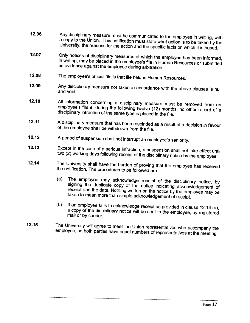- 12.06 Any disciplinary measure must be communicated to the employee in writing, with a copy to the Union. This notification must state what action is to be taken by the University, the reasons for the action and the specific facts on which it is based.
- 12.07 Only notices of disciplinary measures of which the employee has been informed, in writing, may be placed in the employee's file in Human Resources or submitted as evidence against the employee during arbitration. .
- 12.08 The employee's official file is that file held in Human Resources.
- 12.09 Any disciplinary measure not taken in accordance with the above clauses is null and void.
- 12.10 All information concerning a disciplinary measure must be removed from an employee's file if, during the following twelve (12) months, no other record of a disciplinary infraction of the same type is placed in the file.
- 12.11 A disciplinary measure that has been rescinded as a result of a decision in favour of the employee shall be withdrawn from the file.
- 12.12 A period of suspension shall not interrupt an employee's seniority.
- 12.13 Except in the case of a serious infraction, a suspension shall not take effect until two (2) working days following receipt of the disciplinary notice by the employee.
- 12.14 The University shall have the burden of proving that the employee has received the notification. The procedures to be followed are:
	- (a) The employee may acknowledge receipt of the disciplinary notice, by signing the duplicate copy of the notice indicating acknowledgement of receipt and the date. Nothing written on the notice by the employee may be taken to mean more than simple acknowledgement of receipt.
	- (b) If an employee fails to acknowledge receipt as provided in clause 12.14 (a), a copy of the disciplinary notice will be sent to the employee, by registered mail or by courier.
- 12.15 The University will agree to meet the Union representatives who accompany the employee, so both parties have equal numbers of representatives at the meeting.

 $\mathcal{L}$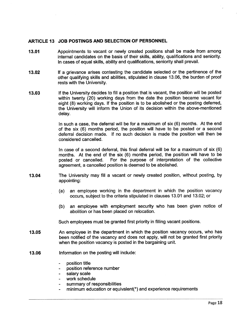### ARTICLE 13 JOB POSTINGS AND SELECTION OF PERSONNEL

- 13.01 Appointments to vacant or newly created positions shall be made from among internal candidates on the basis of their skils, ability, qualifications and seniority. In cases of equal skils, ability and qualifications, seniority shall prevaiL.
- 13.02 If a grievance arises contesting the candidate selected or the pertinence of the other qualifying skils and abilties, stipulated in clause 13.06, the burden of proof rests with the University.
- 13.03 If the University decides to fill a position that is vacant, the position will be posted within twenty (20) working days from the date the position became vacant for eight (8) working days. If the position is to be abolished or the posting deferred, the University wil inform the Union of its decision within the above-mentioned delay.

In such a case, the deferral wil be for a maximum of six (6) months. At the end of the six (6) months period, the position wil have to be posted or a second deferral decision made. If no such decision is made the position wil then be considered cancelled.

In case of a second deferral, this final deferral wil be for a maximum of six (6) months. At the end of the six (6) months period, the position wil have to be posted or cancelled. For the purpose of interpretation of the collective agreement, a cancelled position is deemed to be abolished.

- 13.04 The University may fil a vacant or newly created position, without posting, by appointing:
	- (a) an employee working in the department in which the position vacancy occurs, subject to the criteria stipulated in clauses 13.01 and 13.02; or
	- (b) an employee with employment security who has been given notice of abolition or has been placed on relocation.

Such employees must be granted first priority in filling vacant positions.

- 13.05 An employee in the department in which the position vacancy occurs, who has been notified of the vacancy and does not apply, wil not be granted first priority when the position vacancy is posted in the bargaining unit.
- 13.06 Information on the posting will include:
	- position title
	- position reference number
	- salary scale
	- work schedule
	- summary of responsibilities
	- minimum education or equivalent(\*) and experience requirements  $\overline{a}$